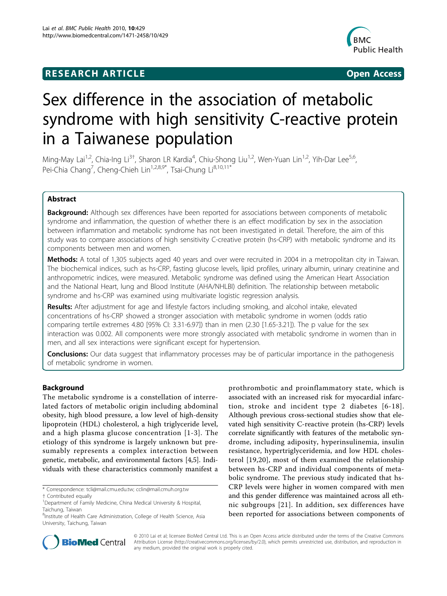## **RESEARCH ARTICLE Example 2018 CONSIDERING ACCESS**



# Sex difference in the association of metabolic syndrome with high sensitivity C-reactive protein in a Taiwanese population

Ming-May Lai<sup>1,2</sup>, Chia-Ing Li<sup>3†</sup>, Sharon LR Kardia<sup>4</sup>, Chiu-Shong Liu<sup>1,2</sup>, Wen-Yuan Lin<sup>1,2</sup>, Yih-Dar Lee<sup>5,6</sup>, Pei-Chia Chang<sup>7</sup>, Cheng-Chieh Lin<sup>1,2,8,9\*</sup>, Tsai-Chung Li<sup>8,10,11\*</sup>

## Abstract

**Background:** Although sex differences have been reported for associations between components of metabolic syndrome and inflammation, the question of whether there is an effect modification by sex in the association between inflammation and metabolic syndrome has not been investigated in detail. Therefore, the aim of this study was to compare associations of high sensitivity C-creative protein (hs-CRP) with metabolic syndrome and its components between men and women.

Methods: A total of 1,305 subjects aged 40 years and over were recruited in 2004 in a metropolitan city in Taiwan. The biochemical indices, such as hs-CRP, fasting glucose levels, lipid profiles, urinary albumin, urinary creatinine and anthropometric indices, were measured. Metabolic syndrome was defined using the American Heart Association and the National Heart, lung and Blood Institute (AHA/NHLBI) definition. The relationship between metabolic syndrome and hs-CRP was examined using multivariate logistic regression analysis.

Results: After adjustment for age and lifestyle factors including smoking, and alcohol intake, elevated concentrations of hs-CRP showed a stronger association with metabolic syndrome in women (odds ratio comparing tertile extremes 4.80 [95% CI: 3.31-6.97]) than in men (2.30 [1.65-3.21]). The p value for the sex interaction was 0.002. All components were more strongly associated with metabolic syndrome in women than in men, and all sex interactions were significant except for hypertension.

**Conclusions:** Our data suggest that inflammatory processes may be of particular importance in the pathogenesis of metabolic syndrome in women.

## Background

The metabolic syndrome is a constellation of interrelated factors of metabolic origin including abdominal obesity, high blood pressure, a low level of high-density lipoprotein (HDL) cholesterol, a high triglyceride level, and a high plasma glucose concentration [[1](#page-6-0)-[3\]](#page-6-0). The etiology of this syndrome is largely unknown but presumably represents a complex interaction between genetic, metabolic, and environmental factors [\[4,5](#page-6-0)]. Individuals with these characteristics commonly manifest a

prothrombotic and proinflammatory state, which is associated with an increased risk for myocardial infarction, stroke and incident type 2 diabetes [[6](#page-6-0)-[18\]](#page-6-0). Although previous cross-sectional studies show that elevated high sensitivity C-reactive protein (hs-CRP) levels correlate significantly with features of the metabolic syndrome, including adiposity, hyperinsulinemia, insulin resistance, hypertriglyceridemia, and low HDL cholesterol [[19,20\]](#page-6-0), most of them examined the relationship between hs-CRP and individual components of metabolic syndrome. The previous study indicated that hs-CRP levels were higher in women compared with men and this gender difference was maintained across all ethnic subgroups [[21\]](#page-6-0). In addition, sex differences have been reported for associations between components of



© 2010 Lai et al; licensee BioMed Central Ltd. This is an Open Access article distributed under the terms of the Creative Commons Attribution License [\(http://creativecommons.org/licenses/by/2.0](http://creativecommons.org/licenses/by/2.0)), which permits unrestricted use, distribution, and reproduction in any medium, provided the original work is properly cited.

<sup>\*</sup> Correspondence: [tcli@mail.cmu.edu.tw;](mailto:tcli@mail.cmu.edu.tw) [cclin@mail.cmuh.org.tw](mailto:cclin@mail.cmuh.org.tw)

<sup>†</sup> Contributed equally <sup>1</sup>

<sup>&</sup>lt;sup>1</sup>Department of Family Medicine, China Medical University & Hospital, Taichung, Taiwan

<sup>&</sup>lt;sup>8</sup>Institute of Health Care Administration, College of Health Science, Asia University, Taichung, Taiwan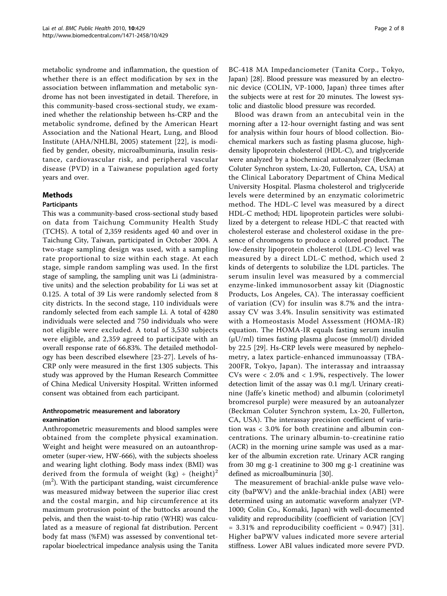metabolic syndrome and inflammation, the question of whether there is an effect modification by sex in the association between inflammation and metabolic syndrome has not been investigated in detail. Therefore, in this community-based cross-sectional study, we examined whether the relationship between hs-CRP and the metabolic syndrome, defined by the American Heart Association and the National Heart, Lung, and Blood Institute (AHA/NHLBI, 2005) statement [[22](#page-6-0)], is modified by gender, obesity, microalbuminuria, insulin resistance, cardiovascular risk, and peripheral vascular disease (PVD) in a Taiwanese population aged forty years and over.

## Methods

#### **Participants**

This was a community-based cross-sectional study based on data from Taichung Community Health Study (TCHS). A total of 2,359 residents aged 40 and over in Taichung City, Taiwan, participated in October 2004. A two-stage sampling design was used, with a sampling rate proportional to size within each stage. At each stage, simple random sampling was used. In the first stage of sampling, the sampling unit was Li (administrative units) and the selection probability for Li was set at 0.125. A total of 39 Lis were randomly selected from 8 city districts. In the second stage, 110 individuals were randomly selected from each sample Li. A total of 4280 individuals were selected and 750 individuals who were not eligible were excluded. A total of 3,530 subjects were eligible, and 2,359 agreed to participate with an overall response rate of 66.83%. The detailed methodology has been described elsewhere [[23-27](#page-6-0)]. Levels of hs-CRP only were measured in the first 1305 subjects. This study was approved by the Human Research Committee of China Medical University Hospital. Written informed consent was obtained from each participant.

## Anthropometric measurement and laboratory examination

Anthropometric measurements and blood samples were obtained from the complete physical examination. Weight and height were measured on an autoanthropometer (super-view, HW-666), with the subjects shoeless and wearing light clothing. Body mass index (BMI) was derived from the formula of weight (kg)  $\div$  (height)<sup>2</sup>  $(m<sup>2</sup>)$ . With the participant standing, waist circumference was measured midway between the superior iliac crest and the costal margin, and hip circumference at its maximum protrusion point of the buttocks around the pelvis, and then the waist-to-hip ratio (WHR) was calculated as a measure of regional fat distribution. Percent body fat mass (%FM) was assessed by conventional tetrapolar bioelectrical impedance analysis using the Tanita BC-418 MA Impedanciometer (Tanita Corp., Tokyo, Japan) [[28\]](#page-6-0). Blood pressure was measured by an electronic device (COLIN, VP-1000, Japan) three times after the subjects were at rest for 20 minutes. The lowest systolic and diastolic blood pressure was recorded.

Blood was drawn from an antecubital vein in the morning after a 12-hour overnight fasting and was sent for analysis within four hours of blood collection. Biochemical markers such as fasting plasma glucose, highdensity lipoprotein cholesterol (HDL-C), and triglyceride were analyzed by a biochemical autoanalyzer (Beckman Coluter Synchron system, Lx-20, Fullerton, CA, USA) at the Clinical Laboratory Department of China Medical University Hospital. Plasma cholesterol and triglyceride levels were determined by an enzymatic colorimetric method. The HDL-C level was measured by a direct HDL-C method; HDL lipoprotein particles were solubilized by a detergent to release HDL-C that reacted with cholesterol esterase and cholesterol oxidase in the presence of chromogens to produce a colored product. The low-density lipoprotein cholesterol (LDL-C) level was measured by a direct LDL-C method, which used 2 kinds of detergents to solubilize the LDL particles. The serum insulin level was measured by a commercial enzyme-linked immunosorbent assay kit (Diagnostic Products, Los Angeles, CA). The interassay coefficient of variation (CV) for insulin was 8.7% and the intraassay CV was 3.4%. Insulin sensitivity was estimated with a Homeostasis Model Assessment (HOMA-IR) equation. The HOMA-IR equals fasting serum insulin  $(\mu U/ml)$  times fasting plasma glucose (mmol/l) divided by 22.5 [\[29](#page-6-0)]. Hs-CRP levels were measured by nephelometry, a latex particle-enhanced immunoassay (TBA-200FR, Tokyo, Japan). The interassay and intraassay CVs were < 2.0% and < 1.9%, respectively. The lower detection limit of the assay was 0.1 mg/l. Urinary creatinine (Jaffe's kinetic method) and albumin (colorimetyl bromcresol purple) were measured by an autoanalyzer (Beckman Coluter Synchron system, Lx-20, Fullerton, CA, USA). The interassay precision coefficient of variation was < 3.0% for both creatinine and albumin concentrations. The urinary albumin-to-creatinine ratio (ACR) in the morning urine sample was used as a marker of the albumin excretion rate. Urinary ACR ranging from 30 mg g-1 creatinine to 300 mg g-1 creatinine was defined as microalbuminuria [[30](#page-7-0)].

The measurement of brachial-ankle pulse wave velocity (baPWV) and the ankle-brachial index (ABI) were determined using an automatic waveform analyzer (VP-1000; Colin Co., Komaki, Japan) with well-documented validity and reproducibility (coefficient of variation [CV]  $= 3.31\%$  and reproducibility coefficient  $= 0.947$  [[31\]](#page-7-0). Higher baPWV values indicated more severe arterial stiffness. Lower ABI values indicated more severe PVD.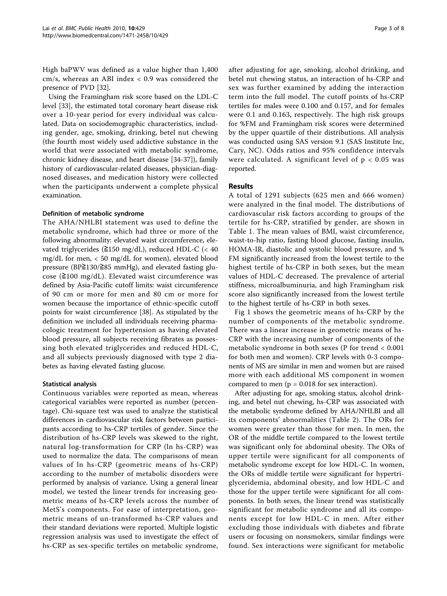High baPWV was defined as a value higher than 1,400 cm/s, whereas an ABI index < 0.9 was considered the presence of PVD [\[32](#page-7-0)].

Using the Framingham risk score based on the LDL-C level [[33](#page-7-0)], the estimated total coronary heart disease risk over a 10-year period for every individual was calculated. Data on sociodemographic characteristics, including gender, age, smoking, drinking, betel nut chewing (the fourth most widely used addictive substance in the world that were associated with metabolic syndrome, chronic kidney disease, and heart disease [\[34-37](#page-7-0)]), family history of cardiovascular-related diseases, physician-diagnosed diseases, and medication history were collected when the participants underwent a complete physical examination.

## Definition of metabolic syndrome

The AHA/NHLBI statement was used to define the metabolic syndrome, which had three or more of the following abnormality: elevated waist circumference, elevated triglycerides (≧150 mg/dL), reduced HDL-C (< 40 mg/dL for men, < 50 mg/dL for women), elevated blood pressure (BP≧130/≧85 mmHg), and elevated fasting glucose ( $\geq$ 100 mg/dL). Elevated waist circumference was defined by Asia-Pacific cutoff limits: waist circumference of 90 cm or more for men and 80 cm or more for women because the importance of ethnic-specific cutoff points for waist circumference [\[38\]](#page-7-0). As stipulated by the definition we included all individuals receiving pharmacologic treatment for hypertension as having elevated blood pressure, all subjects receiving fibrates as possessing both elevated triglycerides and reduced HDL-C, and all subjects previously diagnosed with type 2 diabetes as having elevated fasting glucose.

## Statistical analysis

Continuous variables were reported as mean, whereas categorical variables were reported as number (percentage). Chi-square test was used to analyze the statistical differences in cardiovascular risk factors between participants according to hs-CRP tertiles of gender. Since the distribution of hs-CRP levels was skewed to the right, natural log-transformation for CRP (ln hs-CRP) was used to normalize the data. The comparisons of mean values of ln hs-CRP (geometric means of hs-CRP) according to the number of metabolic disorders were performed by analysis of variance. Using a general linear model, we tested the linear trends for increasing geometric means of hs-CRP levels across the number of MetS's components. For ease of interpretation, geometric means of un-transformed hs-CRP values and their standard deviations were reported. Multiple logistic regression analysis was used to investigate the effect of hs-CRP as sex-specific tertiles on metabolic syndrome, after adjusting for age, smoking, alcohol drinking, and betel nut chewing status, an interaction of hs-CRP and sex was further examined by adding the interaction term into the full model. The cutoff points of hs-CRP tertiles for males were 0.100 and 0.157, and for females were 0.1 and 0.163, respectively. The high risk groups for %FM and Framingham risk scores were determined by the upper quartile of their distributions. All analysis was conducted using SAS version 9.1 (SAS Institute Inc, Cary, NC). Odds ratios and 95% confidence intervals were calculated. A significant level of  $p < 0.05$  was reported.

## Results

A total of 1291 subjects (625 men and 666 women) were analyzed in the final model. The distributions of cardiovascular risk factors according to groups of the tertile for hs-CRP, stratified by gender, are shown in Table [1.](#page-3-0) The mean values of BMI, waist circumference, waist-to-hip ratio, fasting blood glucose, fasting insulin, HOMA-IR, diastolic and systolic blood pressure, and % FM significantly increased from the lowest tertile to the highest tertile of hs-CRP in both sexes, but the mean values of HDL-C decreased. The prevalence of arterial stiffness, microalbuminuria, and high Framingham risk score also significantly increased from the lowest tertile to the highest tertile of hs-CRP in both sexes.

Fig [1](#page-4-0) shows the geometric means of hs-CRP by the number of components of the metabolic syndrome. There was a linear increase in geometric means of hs-CRP with the increasing number of components of the metabolic syndrome in both sexes (P for trend < 0.001 for both men and women). CRP levels with 0-3 components of MS are similar in men and women but are raised more with each additional MS component in women compared to men ( $p = 0.018$  for sex interaction).

After adjusting for age, smoking status, alcohol drinking, and betel nut chewing, hs-CRP was associated with the metabolic syndrome defined by AHA/NHLBI and all its components' abnormalities (Table [2\)](#page-5-0). The ORs for women were greater than those for men. In men, the OR of the middle tertile compared to the lowest tertile was significant only for abdominal obesity. The ORs of upper tertile were significant for all components of metabolic syndrome except for low HDL-C. In women, the ORs of middle tertile were significant for hypertriglyceridemia, abdominal obesity, and low HDL-C and those for the upper tertile were significant for all components. In both sexes, the linear trend was statistically significant for metabolic syndrome and all its components except for low HDL-C in men. After either excluding those individuals with diabetes and fibrate users or focusing on nonsmokers, similar findings were found. Sex interactions were significant for metabolic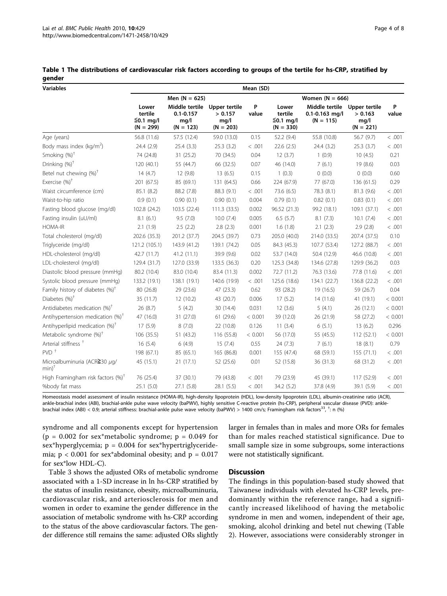| <b>Variables</b>                                  | Mean (SD)                                      |                                                                      |                                |                   |                                                |                                                     |                                                 |            |
|---------------------------------------------------|------------------------------------------------|----------------------------------------------------------------------|--------------------------------|-------------------|------------------------------------------------|-----------------------------------------------------|-------------------------------------------------|------------|
|                                                   | Men $(N = 625)$                                |                                                                      |                                | Women $(N = 666)$ |                                                |                                                     |                                                 |            |
|                                                   | Lower<br>tertile<br>$≤0.1$ mg/l<br>$(N = 299)$ | Middle tertile Upper tertile<br>$0.1 - 0.157$<br>mq/l<br>$(N = 123)$ | > 0.157<br>mq/l<br>$(N = 203)$ | P<br>value        | Lower<br>tertile<br>$≤0.1$ mg/l<br>$(N = 330)$ | Middle tertile<br>$0.1 - 0.163$ mg/l<br>$(N = 115)$ | Upper tertile<br>> 0.163<br>mq/l<br>$(N = 221)$ | P<br>value |
| Age (years)                                       | 56.8 (11.6)                                    | 57.5 (12.4)                                                          | 59.0 (13.0)                    | 0.15              | 52.2 (9.4)                                     | 55.8 (10.8)                                         | 56.7 (9.7)                                      | < .001     |
| Body mass index ( $kg/m2$ )                       | 24.4 (2.9)                                     | 25.4(3.3)                                                            | 25.3(3.2)                      | < .001            | 22.6(2.5)                                      | 24.4 (3.2)                                          | 25.3(3.7)                                       | < .001     |
| Smoking (%) <sup>†</sup>                          | 74 (24.8)                                      | 31(25.2)                                                             | 70 (34.5)                      | 0.04              | 12(3.7)                                        | 1(0.9)                                              | 10(4.5)                                         | 0.21       |
| Drinking (%) <sup>†</sup>                         | 120 (40.1)                                     | 55 (44.7)                                                            | 66 (32.5)                      | 0.07              | 46 (14.0)                                      | 7(6.1)                                              | 19 (8.6)                                        | 0.03       |
| Betel nut chewing $(\%)^{\dagger}$                | 14(4.7)                                        | 12 (9.8)                                                             | 13(6.5)                        | 0.15              | 1(0.3)                                         | 0(0.0)                                              | 0(0.0)                                          | 0.60       |
| Exercise $(%)^{\dagger}$                          | 201 (67.5)                                     | 85 (69.1)                                                            | 131 (64.5)                     | 0.66              | 224 (67.9)                                     | 77 (67.0)                                           | 136 (61.5)                                      | 0.29       |
| Waist circumference (cm)                          | 85.1 (8.2)                                     | 88.2 (7.8)                                                           | 88.3 (9.1)                     | < .001            | 73.6 (6.5)                                     | 78.3 (8.1)                                          | 81.3 (9.6)                                      | < .001     |
| Waist-to-hip ratio                                | 0.9(0.1)                                       | 0.90(0.1)                                                            | 0.90(0.1)                      | 0.004             | 0.79(0.1)                                      | 0.82(0.1)                                           | 0.83(0.1)                                       | < .001     |
| Fasting blood glucose (mg/dl)                     | 102.8 (24.2)                                   | 103.5 (22.4)                                                         | 111.3 (33.5)                   | 0.002             | 96.52 (21.3)                                   | 99.2 (18.1)                                         | 109.1(37.1)                                     | < .001     |
| Fasting insulin (uU/ml)                           | 8.1(6.1)                                       | 9.5(7.0)                                                             | 10.0(7.4)                      | 0.005             | 6.5(5.7)                                       | 8.1(7.3)                                            | 10.1(7.4)                                       | < .001     |
| <b>HOMA-IR</b>                                    | 2.1(1.9)                                       | 2.5(2.2)                                                             | 2.8(2.3)                       | 0.001             | 1.6(1.8)                                       | 2.1(2.3)                                            | 2.9(2.8)                                        | < .001     |
| Total cholesterol (mg/dl)                         | 202.6 (35.3)                                   | 201.2 (37.7)                                                         | 204.5 (39.7)                   | 0.73              | 205.0 (40.0)                                   | 214.0 (33.5)                                        | 207.4 (37.5)                                    | 0.10       |
| Triglyceride (mg/dl)                              | 121.2 (105.1)                                  | 143.9 (41.2)                                                         | 139.1 (74.2)                   | 0.05              | 84.3 (45.3)                                    | 107.7 (53.4)                                        | 127.2 (88.7)                                    | < .001     |
| HDL-cholesterol (mg/dl)                           | 42.7 (11.7)                                    | 41.2(11.1)                                                           | 39.9 (9.6)                     | 0.02              | 53.7 (14.0)                                    | 50.4 (12.9)                                         | 46.6 (10.8)                                     | < .001     |
| LDL-cholesterol (mg/dl)                           | 129.4 (31.7)                                   | 127.0 (33.9)                                                         | 133.5 (36.3)                   | 0.20              | 125.3 (34.8)                                   | 134.6 (27.8)                                        | 129.9 (36.2)                                    | 0.03       |
| Diastolic blood pressure (mmHg)                   | 80.2 (10.4)                                    | 83.0 (10.4)                                                          | 83.4 (11.3)                    | 0.002             | 72.7 (11.2)                                    | 76.3 (13.6)                                         | 77.8 (11.6)                                     | < .001     |
| Systolic blood pressure (mmHq)                    | 133.2 (19.1)                                   | 138.1 (19.1)                                                         | 140.6 (19.9)                   | < .001            | 125.6 (18.6)                                   | 134.1 (22.7)                                        | 136.8 (22.2)                                    | < .001     |
| Family history of diabetes (%) <sup>+</sup>       | 80 (26.8)                                      | 29 (23.6)                                                            | 47 (23.3)                      | 0.62              | 93 (28.2)                                      | 19 (16.5)                                           | 59 (26.7)                                       | 0.04       |
| Diabetes $(\%)^{\dagger}$                         | 35 (11.7)                                      | 12(10.2)                                                             | 43 (20.7)                      | 0.006             | 17(5.2)                                        | 14 (11.6)                                           | 41 (19.1)                                       | < 0.001    |
| Antidiabetes medication (%) <sup>+</sup>          | 26 (8.7)                                       | 5(4.2)                                                               | 30 (14.4)                      | 0.031             | 12(3.6)                                        | 5(4.1)                                              | 26(12.1)                                        | < 0.001    |
| Antihypertension medication $(\%)^{\dagger}$      | 47 (16.0)                                      | 31 (27.0)                                                            | 61 (29.6)                      | < 0.001           | 39 (12.0)                                      | 26 (21.9)                                           | 58 (27.2)                                       | < 0.001    |
| Antihyperlipid medication $(\%)^{\dagger}$        | 17(5.9)                                        | 8(7.0)                                                               | 22 (10.8)                      | 0.126             | 11(3.4)                                        | 6(5.1)                                              | 13(6.2)                                         | 0.296      |
| Metabolic syndrome $(\%)^{\dagger}$               | 106 (35.5)                                     | 51 (43.2)                                                            | 116 (55.8)                     | < 0.001           | 56 (17.0)                                      | 55 (45.5)                                           | 112 (52.1)                                      | < 0.001    |
| Arterial stiffness <sup>+</sup>                   | 16(5.4)                                        | 6(4.9)                                                               | 15(7.4)                        | 0.55              | 24 (7.3)                                       | 7(6.1)                                              | 18(8.1)                                         | 0.79       |
| $PVD$ <sup>+</sup>                                | 198 (67.1)                                     | 85 (65.1)                                                            | 165 (86.8)                     | 0.001             | 155 (47.4)                                     | 68 (59.1)                                           | 155 (71.1)                                      | < .001     |
| Microalbuminuria (ACR $\geq$ 30 µg/<br>$min)^{+}$ | 45 (15.1)                                      | 21(17.1)                                                             | 52 (25.6)                      | 0.01              | 52 (15.8)                                      | 36 (31.3)                                           | 68 (31.2)                                       | < .001     |
| High Framingham risk factors $(\%)^T$             | 76 (25.4)                                      | 37 (30.1)                                                            | 79 (43.8)                      | < .001            | 79 (23.9)                                      | 45 (39.1)                                           | 117 (52.9)                                      | < .001     |
| %body fat mass                                    | 25.1(5.0)                                      | 27.1(5.8)                                                            | 28.1 (5.5)                     | < .001            | 34.2 (5.2)                                     | 37.8 (4.9)                                          | 39.1 (5.9)                                      | < .001     |

<span id="page-3-0"></span>Table 1 The distributions of cardiovascular risk factors according to groups of the tertile for hs-CRP, stratified by gender

Homeostasis model assessment of insulin resistance (HOMA-IR), high-density lipoprotein (HDL), low-density lipoprotein (LDL), albumin-creatinine ratio (ACR), ankle-brachial index (ABI), brachial-ankle pulse wave velocity (baPWV), highly sensitive C-reactive protein (hs-CRP), peripheral vascular disease (PVD): anklebrachial index (ABI) < 0.9; arterial stiffness: brachial-ankle pulse wave velocity (baPWV) > 1400 cm/s; Framingham risk factors<sup>33</sup>, <sup>†</sup>: n (%)

syndrome and all components except for hypertension  $(p = 0.002$  for sex\*metabolic syndrome;  $p = 0.049$  for sex\*hyperglycemia;  $p = 0.004$  for sex\*hypertriglyceridemia;  $p < 0.001$  for sex\*abdominal obesity; and  $p = 0.017$ for sex\*low HDL-C).

Table [3](#page-5-0) shows the adjusted ORs of metabolic syndrome associated with a 1-SD increase in ln hs-CRP stratified by the status of insulin resistance, obesity, microalbuminuria, cardiovascular risk, and arteriosclerosis for men and women in order to examine the gender difference in the association of metabolic syndrome with hs-CRP according to the status of the above cardiovascular factors. The gender difference still remains the same: adjusted ORs slightly larger in females than in males and more ORs for females than for males reached statistical significance. Due to small sample size in some subgroups, some interactions were not statistically significant.

## **Discussion**

The findings in this population-based study showed that Taiwanese individuals with elevated hs-CRP levels, predominantly within the reference range, had a significantly increased likelihood of having the metabolic syndrome in men and women, independent of their age, smoking, alcohol drinking and betel nut chewing (Table [2\)](#page-5-0). However, associations were considerably stronger in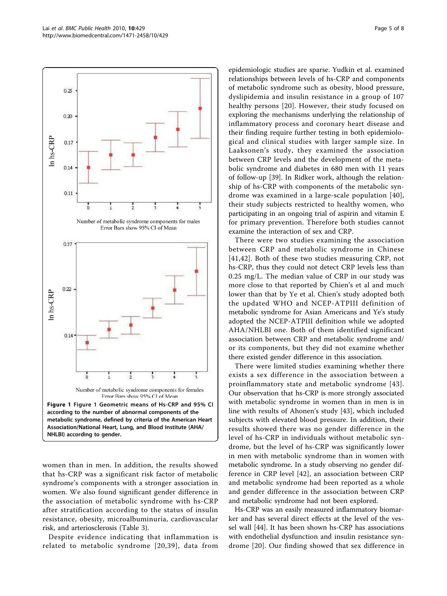Page 5 of 8

<span id="page-4-0"></span>

women than in men. In addition, the results showed that hs-CRP was a significant risk factor of metabolic syndrome's components with a stronger association in women. We also found significant gender difference in the association of metabolic syndrome with hs-CRP after stratification according to the status of insulin resistance, obesity, microalbuminuria, cardiovascular risk, and arteriosclerosis (Table [3](#page-5-0)).

Despite evidence indicating that inflammation is related to metabolic syndrome [[20](#page-6-0),[39\]](#page-7-0), data from epidemiologic studies are sparse. Yudkin et al. examined relationships between levels of hs-CRP and components of metabolic syndrome such as obesity, blood pressure, dyslipidemia and insulin resistance in a group of 107 healthy persons [[20](#page-6-0)]. However, their study focused on exploring the mechanisms underlying the relationship of inflammatory process and coronary heart disease and their finding require further testing in both epidemiological and clinical studies with larger sample size. In Laaksonen's study, they examined the association between CRP levels and the development of the metabolic syndrome and diabetes in 680 men with 11 years of follow-up [[39\]](#page-7-0). In Ridker work, although the relationship of hs-CRP with components of the metabolic syndrome was examined in a large-scale population [[40](#page-7-0)], their study subjects restricted to healthy women, who participating in an ongoing trial of aspirin and vitamin E for primary prevention. Therefore both studies cannot examine the interaction of sex and CRP.

There were two studies examining the association between CRP and metabolic syndrome in Chinese [[41](#page-7-0),[42\]](#page-7-0). Both of these two studies measuring CRP, not hs-CRP, thus they could not detect CRP levels less than 0.25 mg/L. The median value of CRP in our study was more close to that reported by Chien's et al and much lower than that by Ye et al. Chien's study adopted both the updated WHO and NCEP-ATPIII definition of metabolic syndrome for Asian Americans and Ye's study adopted the NCEP-ATPIII definition while we adopted AHA/NHLBI one. Both of them identified significant association between CRP and metabolic syndrome and/ or its components, but they did not examine whether there existed gender difference in this association.

There were limited studies examining whether there exists a sex difference in the association between a proinflammatory state and metabolic syndrome [\[43\]](#page-7-0). Our observation that hs-CRP is more strongly associated with metabolic syndrome in women than in men is in line with results of Ahonen's study [[43\]](#page-7-0), which included subjects with elevated blood pressure. In addition, their results showed there was no gender difference in the level of hs-CRP in individuals without metabolic syndrome, but the level of hs-CRP was significantly lower in men with metabolic syndrome than in women with metabolic syndrome. In a study observing no gender difference in CRP level [[42](#page-7-0)], an association between CRP and metabolic syndrome had been reported as a whole and gender difference in the association between CRP and metabolic syndrome had not been explored.

Hs-CRP was an easily measured inflammatory biomarker and has several direct effects at the level of the vessel wall [[44](#page-7-0)]. It has been shown hs-CRP has associations with endothelial dysfunction and insulin resistance syndrome [[20](#page-6-0)]. Our finding showed that sex difference in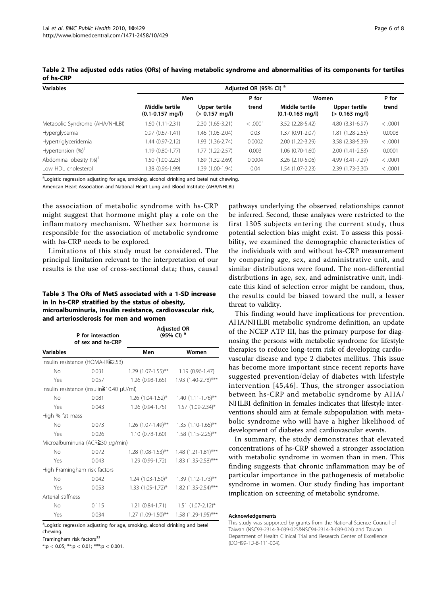| <b>Variables</b>                  | Adjusted OR (95% CI) <sup>a</sup>      |                                           |         |                                        |                                   |         |  |
|-----------------------------------|----------------------------------------|-------------------------------------------|---------|----------------------------------------|-----------------------------------|---------|--|
|                                   | Men                                    |                                           | P for   | Women                                  |                                   | P for   |  |
|                                   | Middle tertile<br>$(0.1 - 0.157$ mg/l) | Upper tertile<br>$(> 0.157 \text{ mg/l})$ | trend   | Middle tertile<br>$(0.1 - 0.163$ mg/l) | Upper tertile<br>$(> 0.163$ mg/l) | trend   |  |
| Metabolic Syndrome (AHA/NHLBI)    | 1.60 (1.11-2.31)                       | 2.30 (1.65-3.21)                          | < .0001 | 3.52 (2.28-5.42)                       | 4.80 (3.31-6.97)                  | < .0001 |  |
| Hyperglycemia                     | $0.97(0.67 - 1.41)$                    | 1.46 (1.05-2.04)                          | 0.03    | 1.37 (0.91-2.07)                       | 1.81 (1.28-2.55)                  | 0.0008  |  |
| Hypertriglyceridemia              | 1.44 (0.97-2.12)                       | 1.93 (1.36-2.74)                          | 0.0002  | 2.00 (1.22-3.29)                       | 3.58 (2.38-5.39)                  | < .0001 |  |
| Hypertension $(%)^{\dagger}$      | 1.19 (0.80-1.77)                       | $1.77(1.22 - 2.57)$                       | 0.003   | $1.06(0.70-1.60)$                      | 2.00 (1.41-2.83)                  | 0.0001  |  |
| Abdominal obesity $(%)^{\dagger}$ | 1.50 (1.00-2.23)                       | 1.89 (1.32-2.69)                          | 0.0004  | 3.26 (2.10-5.06)                       | 4.99 (3.41-7.29)                  | < .0001 |  |
| Low HDL cholesterol               | 1.38 (0.96-1.99)                       | 1.39 (1.00-1.94)                          | 0.04    | 1.54 (1.07-2.23)                       | 2.39 (1.73-3.30)                  | < .0001 |  |

<span id="page-5-0"></span>Table 2 The adjusted odds ratios (ORs) of having metabolic syndrome and abnormalities of its components for tertiles of hs-CRP

<sup>a</sup>Logistic regression adjusting for age, smoking, alcohol drinking and betel nut chewing.

American Heart Association and National Heart Lung and Blood Institute (AHA/NHLBI)

the association of metabolic syndrome with hs-CRP might suggest that hormone might play a role on the inflammatory mechanism. Whether sex hormone is responsible for the association of metabolic syndrome with hs-CRP needs to be explored.

Limitations of this study must be considered. The principal limitation relevant to the interpretation of our results is the use of cross-sectional data; thus, causal

Table 3 The ORs of MetS associated with a 1-SD increase in ln hs-CRP stratified by the status of obesity, microalbuminuria, insulin resistance, cardiovascular risk, and arteriosclerosis for men and women

|                    | P for interaction<br>of sex and hs-CRP              | <b>Adjusted OR</b><br>(95% CI) <sup>a</sup> |                                        |  |  |  |
|--------------------|-----------------------------------------------------|---------------------------------------------|----------------------------------------|--|--|--|
| <b>Variables</b>   |                                                     | Men                                         | Women                                  |  |  |  |
|                    | Insulin resistance (HOMA-IR≧2.53)                   |                                             |                                        |  |  |  |
| No                 | 0.031                                               | $1.29$ (1.07-1.55)**                        | 1.19 (0.96-1.47)                       |  |  |  |
| Yes                | 0.057                                               | 1.26 (0.98-1.65)                            | 1.93 (1.40-2.78)***                    |  |  |  |
|                    | Insulin resistance (insulin $\ge$ 10.40 $\mu$ U/ml) |                                             |                                        |  |  |  |
| No                 | 0.081                                               | 1.26 (1.04-1.52)*                           | $1.40$ (1.11-1.76)**                   |  |  |  |
| Yes                | 0.043                                               | 1.26 (0.94-1.75)                            | 1.57 (1.09-2.34)*                      |  |  |  |
| High % fat mass    |                                                     |                                             |                                        |  |  |  |
| No                 | 0.073                                               | 1.26 (1.07-1.49)**                          | $1.35$ $(1.10-1.65)$ **                |  |  |  |
| Yes                | 0.026                                               | 1.10 (0.78-1.60)                            | 1.58 (1.15-2.25)**                     |  |  |  |
|                    | Microalbuminuria (ACR $\geq$ 30 $\mu$ g/min)        |                                             |                                        |  |  |  |
| No                 | 0.072                                               | $1.28$ (1.08-1.53)**                        | 1.48 (1.21-1.81)***                    |  |  |  |
| Yes                | 0.043                                               | 1.29 (0.99-1.72)                            | 1.83 (1.35-2.58)***                    |  |  |  |
|                    | High Framingham risk factors                        |                                             |                                        |  |  |  |
| No                 | 0.042                                               | $1.24$ $(1.03-1.50)$ <sup>*</sup>           | $1.39(1.12-1.73)$ **                   |  |  |  |
| Yes                | 0.053                                               | $1.33(1.05-1.72)$ *                         | 1.82 (1.35-2.54)***                    |  |  |  |
| Arterial stiffness |                                                     |                                             |                                        |  |  |  |
| No                 | 0.115                                               |                                             | $1.21$ (0.84-1.71) $1.51$ (1.07-2.12)* |  |  |  |
| Yes                | 0.034                                               | 1.27 (1.09-1.50)**                          | 1.58 (1.29-1.95)***                    |  |  |  |

<sup>a</sup>Logistic regression adjusting for age, smoking, alcohol drinking and betel chewing.

Framingham risk factors<sup>33</sup>

 $*:\mathbf{p} < 0.05;$   $**:\mathbf{p} < 0.01;$   $***:\mathbf{p} < 0.001.$ 

pathways underlying the observed relationships cannot be inferred. Second, these analyses were restricted to the first 1305 subjects entering the current study, thus potential selection bias might exist. To assess this possibility, we examined the demographic characteristics of the individuals with and without hs-CRP measurement by comparing age, sex, and administrative unit, and similar distributions were found. The non-differential distributions in age, sex, and administrative unit, indicate this kind of selection error might be random, thus, the results could be biased toward the null, a lesser threat to validity.

This finding would have implications for prevention. AHA/NHLBI metabolic syndrome definition, an update of the NCEP ATP III, has the primary purpose for diagnosing the persons with metabolic syndrome for lifestyle therapies to reduce long-term risk of developing cardiovascular disease and type 2 diabetes mellitus. This issue has become more important since recent reports have suggested prevention/delay of diabetes with lifestyle intervention [[45,46](#page-7-0)]. Thus, the stronger association between hs-CRP and metabolic syndrome by AHA/ NHLBI definition in females indicates that lifestyle interventions should aim at female subpopulation with metabolic syndrome who will have a higher likelihood of development of diabetes and cardiovascular events.

In summary, the study demonstrates that elevated concentrations of hs-CRP showed a stronger association with metabolic syndrome in women than in men. This finding suggests that chronic inflammation may be of particular importance in the pathogenesis of metabolic syndrome in women. Our study finding has important implication on screening of metabolic syndrome.

#### Acknowledgements

This study was supported by grants from the National Science Council of Taiwan (NSC93-2314-B-039-025&NSC94-2314-B-039-024) and Taiwan Department of Health Clinical Trial and Research Center of Excellence (DOH99-TD-B-111-004).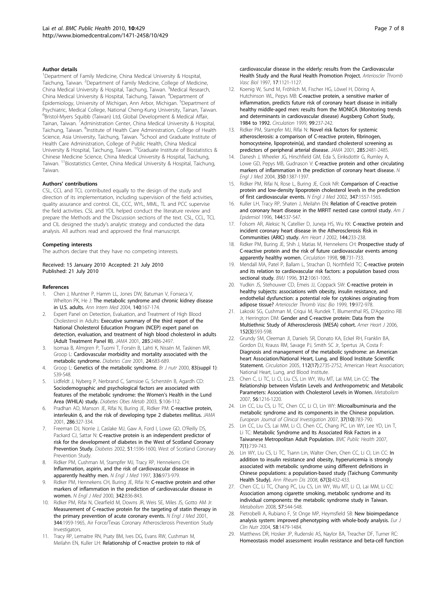#### <span id="page-6-0"></span>Author details

<sup>1</sup>Department of Family Medicine, China Medical University & Hospital, Taichung, Taiwan. <sup>2</sup>Department of Family Medicine, College of Medicine, China Medical University & Hospital, Taichung, Taiwan. <sup>3</sup>Medical Research, China Medical University & Hospital, Taichung, Taiwan. <sup>4</sup>Department of Epidemiology, University of Michigan, Ann Arbor, Michigan. <sup>5</sup>Department of Psychiatric, Medical College, National Cheng-Kung University, Tainan, Taiwan. <sup>6</sup>Bristol-Myers Squibb (Taiwan) Ltd, Global Development & Medical Affair, Tainan, Taiwan. <sup>7</sup>Administration Center, China Medical University & Hospital, Taichung, Taiwan. <sup>8</sup>Institute of Health Care Administration, College of Health Science, Asia University, Taichung, Taiwan. <sup>9</sup>School and Graduate Institute of Health Care Administration, College of Public Health, China Medical University & Hospital, Taichung, Taiwan. 10Graduate Institute of Biostatistics & Chinese Medicine Science, China Medical University & Hospital, Taichung, Taiwan. 11Biostatistics Center, China Medical University & Hospital, Taichung, Taiwan.

#### Authors' contributions

CSL, CCL and TCL contributed equally to the design of the study and direction of its implementation, including supervision of the field activities, quality assurance and control. CIL, CCC, WYL, MML, TL and PCC supervise the field activities. CSL and YDL helped conduct the literature review and prepare the Methods and the Discussion sections of the text. CSL, CCL, TCL and CIL designed the study's analytic strategy and conducted the data analysis. All authors read and approved the final manuscript.

#### Competing interests

The authors declare that they have no competing interests.

#### Received: 15 January 2010 Accepted: 21 July 2010 Published: 21 July 2010

#### References

- 1. Chen J, Muntner P, Hamm LL, Jones DW, Batuman V, Fonseca V, Whelton PK, He J: [The metabolic syndrome and chronic kidney disease](http://www.ncbi.nlm.nih.gov/pubmed/14757614?dopt=Abstract) [in U.S. adults.](http://www.ncbi.nlm.nih.gov/pubmed/14757614?dopt=Abstract) Ann Intern Med 2004, 140:167-174.
- Expert Panel on Detection, Evaluation, and Treatment of High Blood Cholesterol in Adults: [Executive summary of the third report of the](http://www.ncbi.nlm.nih.gov/pubmed/11368702?dopt=Abstract) [National Cholesterol Education Program \(NCEP\) expert panel on](http://www.ncbi.nlm.nih.gov/pubmed/11368702?dopt=Abstract) [detection, evaluation, and treatment of high blood cholesterol in adults](http://www.ncbi.nlm.nih.gov/pubmed/11368702?dopt=Abstract) [\(Adult Treatment Panel III\).](http://www.ncbi.nlm.nih.gov/pubmed/11368702?dopt=Abstract) JAMA 2001, 285:2486-2497.
- 3. Isomaa B, Almgren P, Tuomi T, Forsén B, Lahti K, Nissén M, Taskinen MR, Groop L: [Cardiovascular morbidity and mortality associated with the](http://www.ncbi.nlm.nih.gov/pubmed/11315831?dopt=Abstract) [metabolic syndrome.](http://www.ncbi.nlm.nih.gov/pubmed/11315831?dopt=Abstract) Diabetes Care 2001, 24:683-689.
- 4. Groop L: [Genetics of the metabolic syndrome.](http://www.ncbi.nlm.nih.gov/pubmed/10889791?dopt=Abstract) Br J nutr 2000, 83(suppl 1): S39-S48.
- 5. Lidfeldt J, Nyberg P, Nerbrand C, Samsioe G, Scherstén B, Agardh CD: [Sociodemographic and psychological factors are associated with](http://www.ncbi.nlm.nih.gov/pubmed/12630935?dopt=Abstract) [features of the metabolic syndrome: the Women](http://www.ncbi.nlm.nih.gov/pubmed/12630935?dopt=Abstract)'s Health in the Lund [Area \(WHILA\) study.](http://www.ncbi.nlm.nih.gov/pubmed/12630935?dopt=Abstract) Diabetes Obes Metab 2003, 5:106-112.
- 6. Pradhan AD, Manson JE, Rifai N, Buring JE, Ridker PM: [C-reactive protein,](http://www.ncbi.nlm.nih.gov/pubmed/11466099?dopt=Abstract) [interleukin 6, and the risk of developing type 2 diabetes mellitus.](http://www.ncbi.nlm.nih.gov/pubmed/11466099?dopt=Abstract) JAMA 2001, 286:327-334.
- Freeman DJ, Norrie J, Caslake MJ, Gaw A, Ford I, Lowe GD, O'Reilly DS, Packard CJ, Sattar N: [C-reactive protein is an independent predictor of](http://www.ncbi.nlm.nih.gov/pubmed/11978661?dopt=Abstract) [risk for the development of diabetes in the West of Scotland Coronary](http://www.ncbi.nlm.nih.gov/pubmed/11978661?dopt=Abstract) [Prevention Study.](http://www.ncbi.nlm.nih.gov/pubmed/11978661?dopt=Abstract) Diabetes 2002, 51:1596-1600, West of Scotland Coronary Prevention Study.
- 8. Ridker PM, Cushman M, Stampfer MJ, Tracy RP, Hennekens CH: [Inflammation, aspirin, and the risk of cardiovascular disease in](http://www.ncbi.nlm.nih.gov/pubmed/9077376?dopt=Abstract) [apparently healthy men.](http://www.ncbi.nlm.nih.gov/pubmed/9077376?dopt=Abstract) N Engl J Med 1997, 336:973-979.
- Ridker PM, Hennekens CH, Buring JE, Rifai N: [C-reactive protein and other](http://www.ncbi.nlm.nih.gov/pubmed/10733371?dopt=Abstract) [markers of inflammation in the prediction of cardiovascular disease in](http://www.ncbi.nlm.nih.gov/pubmed/10733371?dopt=Abstract) [women.](http://www.ncbi.nlm.nih.gov/pubmed/10733371?dopt=Abstract) N Engl J Med 2000, 342:836-843.
- 10. Ridker PM, Rifai N, Clearfield M, Downs JR, Weis SE, Miles JS, Gotto AM Jr: [Measurement of C-reactive protein for the targeting of statin therapy in](http://www.ncbi.nlm.nih.gov/pubmed/11430324?dopt=Abstract) [the primary prevention of acute coronary events.](http://www.ncbi.nlm.nih.gov/pubmed/11430324?dopt=Abstract) N Engl J Med 2001, 344:1959-1965, Air Force/Texas Coronary Atherosclerosis Prevention Study Investigators.
- 11. Tracy RP, Lemaitre RN, Psaty BM, Ives DG, Evans RW, Cushman M, Meilahn EN, Kuller LH: [Relationship of C-reactive protein to risk of](http://www.ncbi.nlm.nih.gov/pubmed/9194763?dopt=Abstract)

[cardiovascular disease in the elderly: results from the Cardiovascular](http://www.ncbi.nlm.nih.gov/pubmed/9194763?dopt=Abstract) [Health Study and the Rural Health Promotion Project.](http://www.ncbi.nlm.nih.gov/pubmed/9194763?dopt=Abstract) Arterioscler Thromb Vasc Biol 1997, 17:1121-1127.

- 12. Koenig W, Sund M, Fröhlich M, Fischer HG, Löwel H, Döring A, Hutchinson WL, Pepys MB: [C-reactive protein, a sensitive marker of](http://www.ncbi.nlm.nih.gov/pubmed/9892589?dopt=Abstract) [inflammation, predicts future risk of coronary heart disease in initially](http://www.ncbi.nlm.nih.gov/pubmed/9892589?dopt=Abstract) [healthy middle-aged men: results from the MONICA \(Monitoring trends](http://www.ncbi.nlm.nih.gov/pubmed/9892589?dopt=Abstract) [and determinants in cardiovascular disease\) Augsberg Cohort Study,](http://www.ncbi.nlm.nih.gov/pubmed/9892589?dopt=Abstract) [1984 to 1992.](http://www.ncbi.nlm.nih.gov/pubmed/9892589?dopt=Abstract) Circulation 1999, 99:237-242.
- 13. Ridker PM, Stampfer MJ, Rifai N: [Novel risk factors for systemic](http://www.ncbi.nlm.nih.gov/pubmed/11368701?dopt=Abstract) [atherosclerosis: a comparison of C-reactive protein, fibrinogen,](http://www.ncbi.nlm.nih.gov/pubmed/11368701?dopt=Abstract) [homocysteine, lipoprotein\(a\), and standard cholesterol screening as](http://www.ncbi.nlm.nih.gov/pubmed/11368701?dopt=Abstract) [predictors of peripheral arterial disease.](http://www.ncbi.nlm.nih.gov/pubmed/11368701?dopt=Abstract) JAMA 2001, 285:2481-2485.
- 14. Danesh J, Wheeler JG, Hirschfield GM, Eda S, Eiriksdottir G, Rumley A, Lowe GD, Pepys MB, Gudnason V: [C-reactive protein and other circulating](http://www.ncbi.nlm.nih.gov/pubmed/15070788?dopt=Abstract) [markers of inflammation in the prediction of coronary heart disease.](http://www.ncbi.nlm.nih.gov/pubmed/15070788?dopt=Abstract) N Engl J Med 2004, 350:1387-1397.
- 15. Ridker PM, Rifai N, Rose L, Buring JE, Cook NR: [Comparison of C-reactive](http://www.ncbi.nlm.nih.gov/pubmed/12432042?dopt=Abstract) [protein and low-density lipoprotein cholesterol levels in the prediction](http://www.ncbi.nlm.nih.gov/pubmed/12432042?dopt=Abstract) [of first cardiovascular events.](http://www.ncbi.nlm.nih.gov/pubmed/12432042?dopt=Abstract) N Engl J Med 2002, 347:1557-1565.
- 16. Kuller LH, Tracy RP, Shaten J, Meilahn EN: [Relation of C-reactive protein](http://www.ncbi.nlm.nih.gov/pubmed/8797513?dopt=Abstract) [and coronary heart disease in the MRFIT nested case control study.](http://www.ncbi.nlm.nih.gov/pubmed/8797513?dopt=Abstract) Am J Epidemiol 1996, 144:537-547.
- 17. Folsom AR, Aleksic N, Catellier D, Juneja HS, Wu KK: [C-reactive protein and](http://www.ncbi.nlm.nih.gov/pubmed/12177639?dopt=Abstract) [incident coronary heart disease in the Atherosclerosis Risk in](http://www.ncbi.nlm.nih.gov/pubmed/12177639?dopt=Abstract) [Communities \(ARIC\) study.](http://www.ncbi.nlm.nih.gov/pubmed/12177639?dopt=Abstract) Am Heart J 2002, 144:233-238.
- 18. Ridker PM, Buring JE, Shih J, Matias M, Hennekens CH: [Prospective study of](http://www.ncbi.nlm.nih.gov/pubmed/9727541?dopt=Abstract) [C-reactive protein and the risk of future cardiovascular events among](http://www.ncbi.nlm.nih.gov/pubmed/9727541?dopt=Abstract) [apparently healthy women.](http://www.ncbi.nlm.nih.gov/pubmed/9727541?dopt=Abstract) Circulation 1998, 98:731-733.
- 19. Mendall MA, Patel P, Ballam L, Strachan D, Northfield TC: [C-reactive protein](http://www.ncbi.nlm.nih.gov/pubmed/8616412?dopt=Abstract) [and its relation to cardiovascular risk factors: a population based cross](http://www.ncbi.nlm.nih.gov/pubmed/8616412?dopt=Abstract) [sectional study.](http://www.ncbi.nlm.nih.gov/pubmed/8616412?dopt=Abstract) **BMJ 1996**, 312:1061-1065
- 20. Yudkin JS, Stehouwer CD, Emeis JJ, Coppack SW: C-reactive protein in healthy subjects: associations with obesity, insulin resistance, and endothelial dysfunction: a potential role for cytokines originating from adipose tissue? Arterioscler Thromb Vasc Bio 1999, 19:972-978.
- 21. Lakoski SG, Cushman M, Criqui M, Rundek T, Blumenthal RS, D'Agostino RB Jr, Herrington DM: [Gender and C-reactive protein: Data from the](http://www.ncbi.nlm.nih.gov/pubmed/16923436?dopt=Abstract) [Multiethnic Study of Atherosclerosis \(MESA\) cohort.](http://www.ncbi.nlm.nih.gov/pubmed/16923436?dopt=Abstract) Amer Heart J 2006, 152(3):593-598.
- 22. Grundy SM, Cleeman JI, Daniels SR, Donato KA, Eckel RH, Franklin BA, Gordon DJ, Krauss RM, Savage PJ, Smith SC Jr, Spertus JA, Costa F: [Diagnosis and management of the metabolic syndrome: an American](http://www.ncbi.nlm.nih.gov/pubmed/16157765?dopt=Abstract) [heart Association/National Heart, Lung, and Blood Institute Scientific](http://www.ncbi.nlm.nih.gov/pubmed/16157765?dopt=Abstract) [Statement.](http://www.ncbi.nlm.nih.gov/pubmed/16157765?dopt=Abstract) Circulation 2005, 112(17):2735-2752, American Heart Association; National Heart, Lung, and Blood Institute.
- 23. Chen C, Li TC, Li Cl, Liu CS, Lin WY, Wu MT, Lai MM, Lin CC: [The](http://www.ncbi.nlm.nih.gov/pubmed/17697864?dopt=Abstract) [Relationship between Visfatin Levels and Anthropometric and Metabolic](http://www.ncbi.nlm.nih.gov/pubmed/17697864?dopt=Abstract) [Parameters: Association with Cholesterol Levels in Women.](http://www.ncbi.nlm.nih.gov/pubmed/17697864?dopt=Abstract) Metabolism 2007, 56:1216-1220.
- 24. Lin CC, Liu CS, Li TC, Chen CC, Li CI, Lin WY: [Microalbuminuria and the](http://www.ncbi.nlm.nih.gov/pubmed/17888089?dopt=Abstract) [metabolic syndrome and its components in the Chinese population.](http://www.ncbi.nlm.nih.gov/pubmed/17888089?dopt=Abstract) European Journal of Clinical Investigation 2007, 37(10):783-790.
- 25. Lin CC, Liu CS, Lai MM, Li CI, Chen CC, Chang PC, Lin WY, Lee YD, Lin T, Li TC: Metabolic Syndrome and Its Associated Risk Factors in a Taiwanese Metropolitan Adult Population. BMC Public Health 2007, 7(1):739-743.
- 26. Lin WY, Liu CS, Li TC, Tsann Lin, Walter Chen, Chen CC, Li CI, Lin CC: [In](http://www.ncbi.nlm.nih.gov/pubmed/18292110?dopt=Abstract) [addition to insulin resistance and obesity, hyperuricemia is strongly](http://www.ncbi.nlm.nih.gov/pubmed/18292110?dopt=Abstract) [associated with metabolic syndrome using different definitions in](http://www.ncbi.nlm.nih.gov/pubmed/18292110?dopt=Abstract) [Chinese populations: a population-based study \(Taichung Community](http://www.ncbi.nlm.nih.gov/pubmed/18292110?dopt=Abstract) [Health Study\).](http://www.ncbi.nlm.nih.gov/pubmed/18292110?dopt=Abstract) Ann Rheum Dis 2008, 67(3):432-433.
- 27. Chen CC, Li TC, Chang PC, Liu CS, Lin WY, Wu MT, Li CI, Lai MM, Li CC: [Association among cigarette smoking, metabolic syndrome and its](http://www.ncbi.nlm.nih.gov/pubmed/18328358?dopt=Abstract) [individual components: the metabolic syndrome study in Taiwan.](http://www.ncbi.nlm.nih.gov/pubmed/18328358?dopt=Abstract) Metabolism 2008, 57:544-548.
- 28. Pietrobelli A, Rubiano F, St Onge MP, Heymsfield SB: [New bioimpedance](http://www.ncbi.nlm.nih.gov/pubmed/15138459?dopt=Abstract) [analysis system: improved phenotyping with whole-body analysis.](http://www.ncbi.nlm.nih.gov/pubmed/15138459?dopt=Abstract) Eur J Clin Nutr 2004, 58:1479-1484.
- 29. Matthews DR, Hosker JP, Rudenski AS, Naylor BA, Treacher DF, Turner RC: [Homeostasis model assessment: insulin resistance and beta-cell function](http://www.ncbi.nlm.nih.gov/pubmed/3899825?dopt=Abstract)